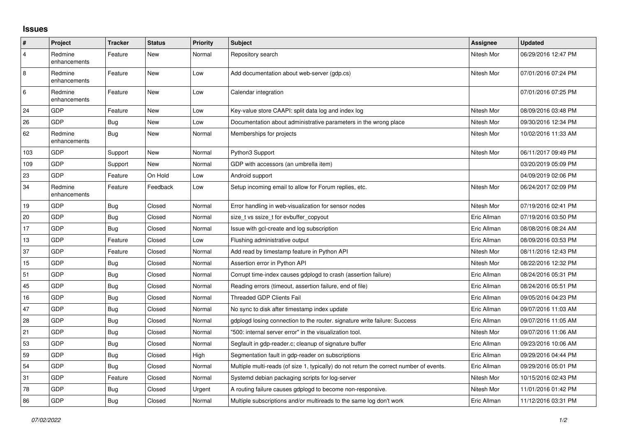## **Issues**

| $\vert$ #      | Project                 | <b>Tracker</b> | <b>Status</b> | Priority | <b>Subject</b>                                                                          | <b>Assignee</b> | <b>Updated</b>      |
|----------------|-------------------------|----------------|---------------|----------|-----------------------------------------------------------------------------------------|-----------------|---------------------|
| $\overline{4}$ | Redmine<br>enhancements | Feature        | New           | Normal   | Repository search                                                                       | Nitesh Mor      | 06/29/2016 12:47 PM |
| $\overline{8}$ | Redmine<br>enhancements | Feature        | New           | Low      | Add documentation about web-server (gdp.cs)                                             | Nitesh Mor      | 07/01/2016 07:24 PM |
| 6              | Redmine<br>enhancements | Feature        | New           | Low      | Calendar integration                                                                    |                 | 07/01/2016 07:25 PM |
| 24             | GDP                     | Feature        | New           | Low      | Key-value store CAAPI: split data log and index log                                     | Nitesh Mor      | 08/09/2016 03:48 PM |
| 26             | GDP                     | Bug            | New           | Low      | Documentation about administrative parameters in the wrong place                        | Nitesh Mor      | 09/30/2016 12:34 PM |
| 62             | Redmine<br>enhancements | <b>Bug</b>     | New           | Normal   | Memberships for projects                                                                | Nitesh Mor      | 10/02/2016 11:33 AM |
| 103            | GDP                     | Support        | New           | Normal   | Python3 Support                                                                         | Nitesh Mor      | 06/11/2017 09:49 PM |
| 109            | GDP                     | Support        | New           | Normal   | GDP with accessors (an umbrella item)                                                   |                 | 03/20/2019 05:09 PM |
| 23             | GDP                     | Feature        | On Hold       | Low      | Android support                                                                         |                 | 04/09/2019 02:06 PM |
| 34             | Redmine<br>enhancements | Feature        | Feedback      | Low      | Setup incoming email to allow for Forum replies, etc.                                   | Nitesh Mor      | 06/24/2017 02:09 PM |
| 19             | GDP                     | <b>Bug</b>     | Closed        | Normal   | Error handling in web-visualization for sensor nodes                                    | Nitesh Mor      | 07/19/2016 02:41 PM |
| 20             | GDP                     | Bug            | Closed        | Normal   | size_t vs ssize_t for evbuffer_copyout                                                  | Eric Allman     | 07/19/2016 03:50 PM |
| 17             | GDP                     | Bug            | Closed        | Normal   | Issue with gcl-create and log subscription                                              | Eric Allman     | 08/08/2016 08:24 AM |
| 13             | GDP                     | Feature        | Closed        | Low      | Flushing administrative output                                                          | Eric Allman     | 08/09/2016 03:53 PM |
| 37             | GDP                     | Feature        | Closed        | Normal   | Add read by timestamp feature in Python API                                             | Nitesh Mor      | 08/11/2016 12:43 PM |
| 15             | GDP                     | Bug            | Closed        | Normal   | Assertion error in Python API                                                           | Nitesh Mor      | 08/22/2016 12:32 PM |
| 51             | GDP                     | Bug            | Closed        | Normal   | Corrupt time-index causes gdplogd to crash (assertion failure)                          | Eric Allman     | 08/24/2016 05:31 PM |
| 45             | GDP                     | Bug            | Closed        | Normal   | Reading errors (timeout, assertion failure, end of file)                                | Eric Allman     | 08/24/2016 05:51 PM |
| 16             | GDP                     | Bug            | Closed        | Normal   | Threaded GDP Clients Fail                                                               | Eric Allman     | 09/05/2016 04:23 PM |
| 47             | GDP                     | <b>Bug</b>     | Closed        | Normal   | No sync to disk after timestamp index update                                            | Eric Allman     | 09/07/2016 11:03 AM |
| 28             | GDP                     | Bug            | Closed        | Normal   | gdplogd losing connection to the router, signature write failure: Success               | Eric Allman     | 09/07/2016 11:05 AM |
| 21             | GDP                     | Bug            | Closed        | Normal   | '500: internal server error" in the visualization tool.                                 | Nitesh Mor      | 09/07/2016 11:06 AM |
| 53             | GDP                     | Bug            | Closed        | Normal   | Segfault in gdp-reader.c; cleanup of signature buffer                                   | Eric Allman     | 09/23/2016 10:06 AM |
| 59             | GDP                     | Bug            | Closed        | High     | Segmentation fault in gdp-reader on subscriptions                                       | Eric Allman     | 09/29/2016 04:44 PM |
| 54             | GDP                     | Bug            | Closed        | Normal   | Multiple multi-reads (of size 1, typically) do not return the correct number of events. | Eric Allman     | 09/29/2016 05:01 PM |
| 31             | GDP                     | Feature        | Closed        | Normal   | Systemd debian packaging scripts for log-server                                         | Nitesh Mor      | 10/15/2016 02:43 PM |
| 78             | GDP                     | Bug            | Closed        | Urgent   | A routing failure causes gdplogd to become non-responsive.                              | Nitesh Mor      | 11/01/2016 01:42 PM |
| 86             | GDP                     | Bug            | Closed        | Normal   | Multiple subscriptions and/or multireads to the same log don't work                     | Eric Allman     | 11/12/2016 03:31 PM |